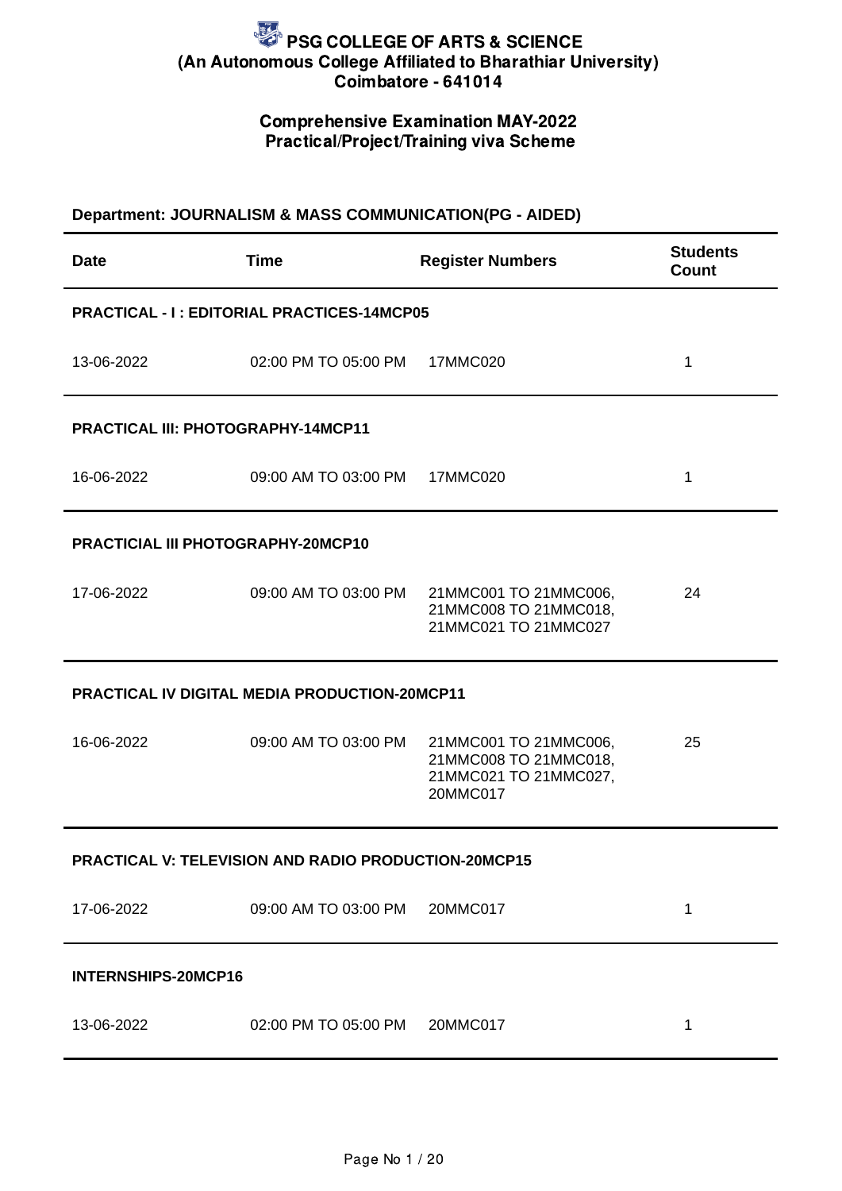## Comprehensive Examination MAY-2022 Practical/Project/Training viva Scheme

### **Department: JOURNALISM & MASS COMMUNICATION(PG - AIDED)**

| <b>Date</b>                               | <b>Time</b>                                                 | <b>Register Numbers</b>                                                             | <b>Students</b><br><b>Count</b> |
|-------------------------------------------|-------------------------------------------------------------|-------------------------------------------------------------------------------------|---------------------------------|
|                                           | <b>PRACTICAL - I: EDITORIAL PRACTICES-14MCP05</b>           |                                                                                     |                                 |
| 13-06-2022                                | 02:00 PM TO 05:00 PM                                        | 17MMC020                                                                            | $\mathbf{1}$                    |
| PRACTICAL III: PHOTOGRAPHY-14MCP11        |                                                             |                                                                                     |                                 |
| 16-06-2022                                | 09:00 AM TO 03:00 PM                                        | 17MMC020                                                                            | $\mathbf{1}$                    |
| <b>PRACTICIAL III PHOTOGRAPHY-20MCP10</b> |                                                             |                                                                                     |                                 |
| 17-06-2022                                | 09:00 AM TO 03:00 PM                                        | 21MMC001 TO 21MMC006,<br>21MMC008 TO 21MMC018,<br>21MMC021 TO 21MMC027              | 24                              |
|                                           | PRACTICAL IV DIGITAL MEDIA PRODUCTION-20MCP11               |                                                                                     |                                 |
| 16-06-2022                                | 09:00 AM TO 03:00 PM                                        | 21MMC001 TO 21MMC006,<br>21MMC008 TO 21MMC018,<br>21MMC021 TO 21MMC027,<br>20MMC017 | 25                              |
|                                           | <b>PRACTICAL V: TELEVISION AND RADIO PRODUCTION-20MCP15</b> |                                                                                     |                                 |
| 17-06-2022                                | 09:00 AM TO 03:00 PM                                        | 20MMC017                                                                            | $\mathbf{1}$                    |
| <b>INTERNSHIPS-20MCP16</b>                |                                                             |                                                                                     |                                 |
| 13-06-2022                                | 02:00 PM TO 05:00 PM                                        | 20MMC017                                                                            | $\mathbf{1}$                    |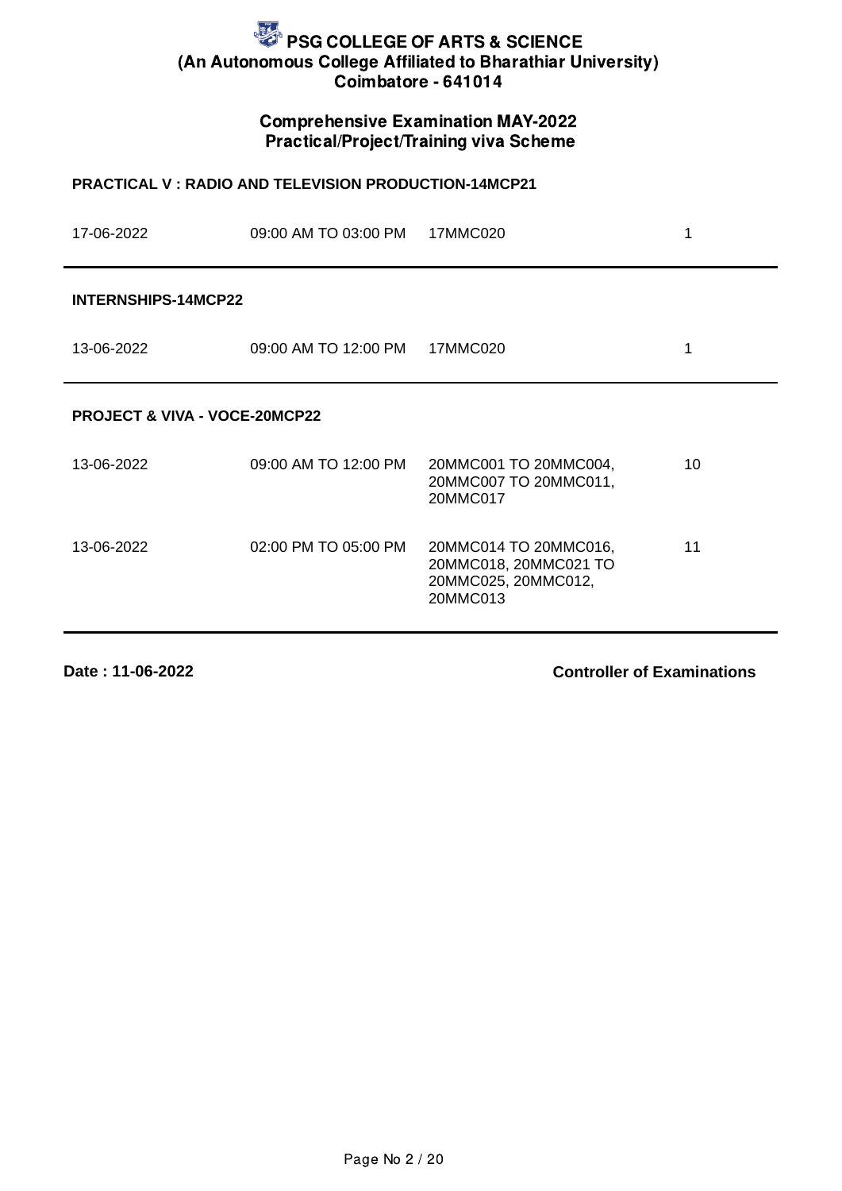## Comprehensive Examination MAY-2022 Practical/Project/Training viva Scheme

| <b>PRACTICAL V : RADIO AND TELEVISION PRODUCTION-14MCP21</b> |                      |                                                                                   |              |
|--------------------------------------------------------------|----------------------|-----------------------------------------------------------------------------------|--------------|
| 17-06-2022                                                   | 09:00 AM TO 03:00 PM | 17MMC020                                                                          | 1            |
| INTERNSHIPS-14MCP22                                          |                      |                                                                                   |              |
| 13-06-2022                                                   | 09:00 AM TO 12:00 PM | 17MMC020                                                                          | $\mathbf{1}$ |
| PROJECT & VIVA - VOCE-20MCP22                                |                      |                                                                                   |              |
| 13-06-2022                                                   | 09:00 AM TO 12:00 PM | 20MMC001 TO 20MMC004,<br>20MMC007 TO 20MMC011,<br>20MMC017                        | 10           |
| 13-06-2022                                                   | 02:00 PM TO 05:00 PM | 20MMC014 TO 20MMC016,<br>20MMC018, 20MMC021 TO<br>20MMC025, 20MMC012,<br>20MMC013 | 11           |

**Date : 11-06-2022**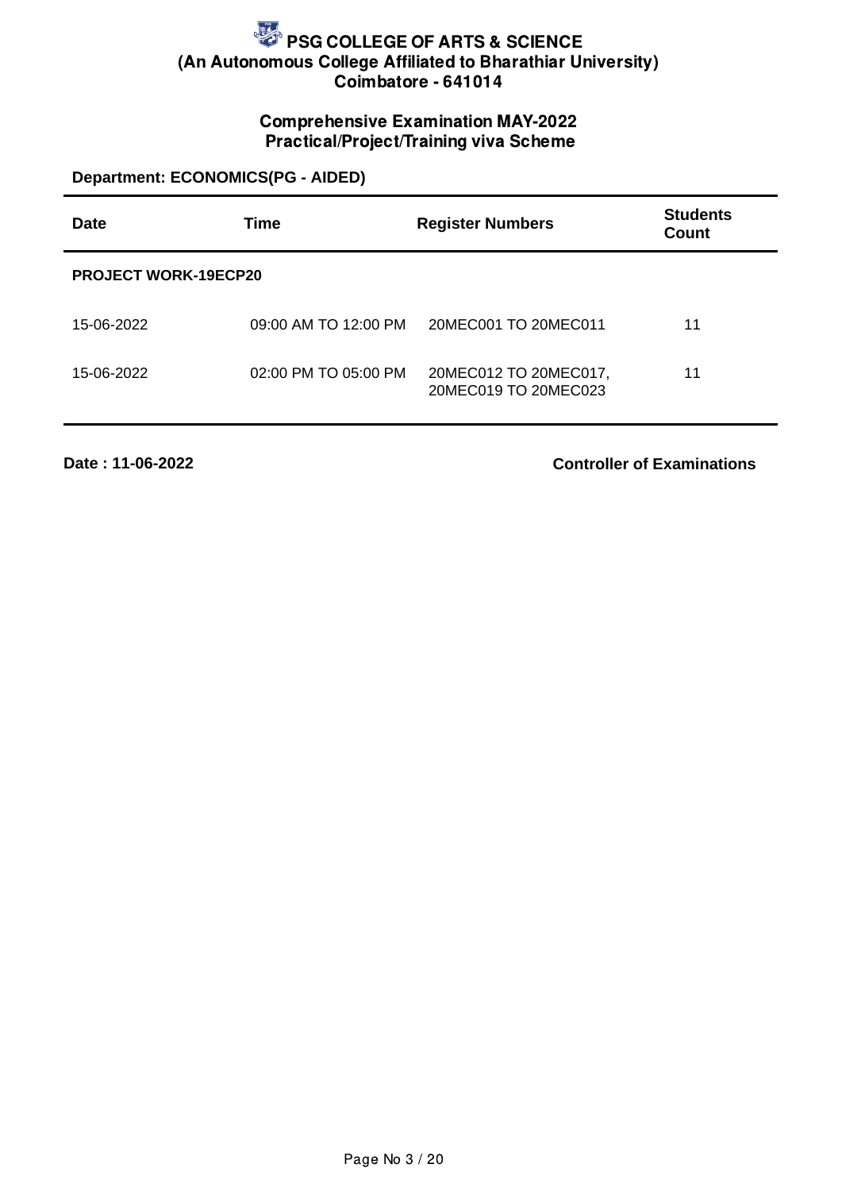## Comprehensive Examination MAY-2022 Practical/Project/Training viva Scheme

**Department: ECONOMICS(PG - AIDED)**

| Date                        | <b>Time</b>          | <b>Register Numbers</b>                       | <b>Students</b><br>Count |
|-----------------------------|----------------------|-----------------------------------------------|--------------------------|
| <b>PROJECT WORK-19ECP20</b> |                      |                                               |                          |
| 15-06-2022                  | 09:00 AM TO 12:00 PM | 20MEC001 TO 20MEC011                          | 11                       |
| 15-06-2022                  | 02:00 PM TO 05:00 PM | 20MEC012 TO 20MEC017,<br>20MEC019 TO 20MEC023 | 11                       |

**Date : 11-06-2022**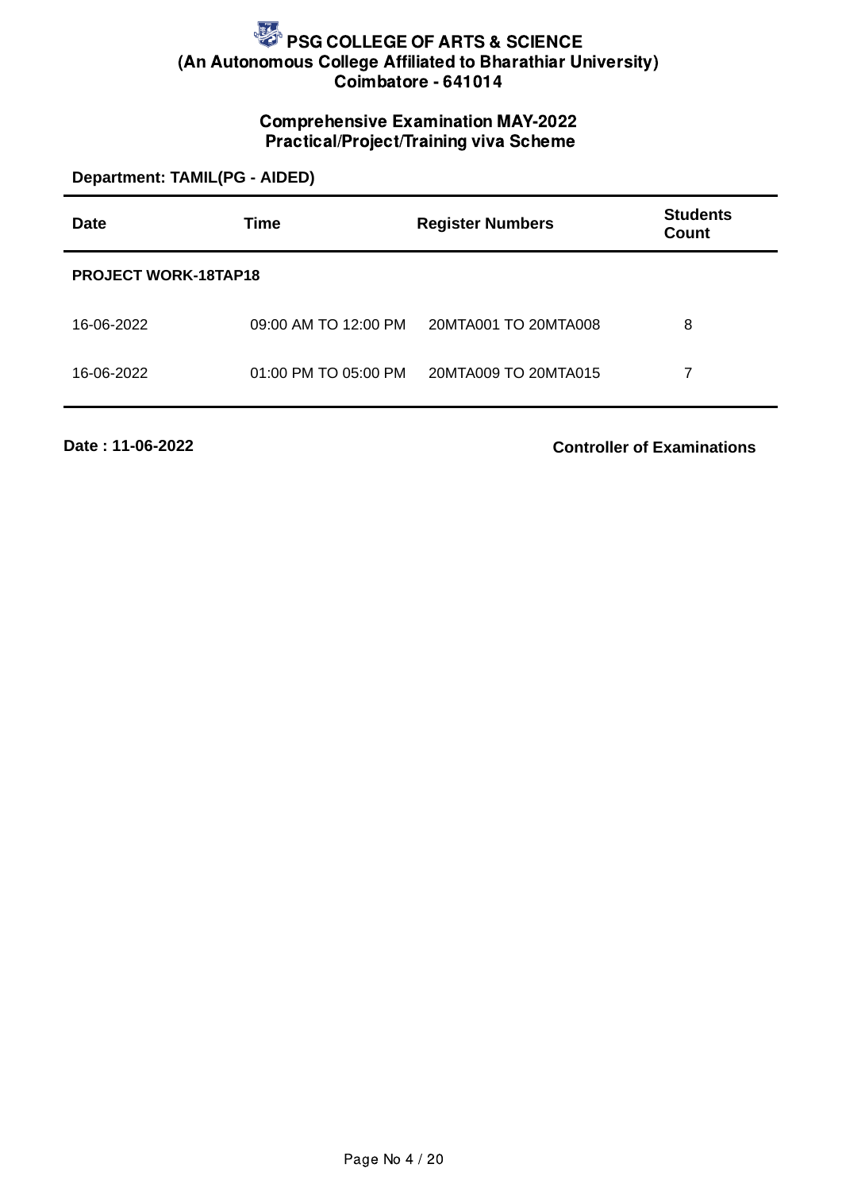## Comprehensive Examination MAY-2022 Practical/Project/Training viva Scheme

**Department: TAMIL(PG - AIDED)**

| <b>Date</b>                 | <b>Time</b>          | <b>Register Numbers</b> | <b>Students</b><br>Count |
|-----------------------------|----------------------|-------------------------|--------------------------|
| <b>PROJECT WORK-18TAP18</b> |                      |                         |                          |
| 16-06-2022                  | 09:00 AM TO 12:00 PM | 20MTA001 TO 20MTA008    | 8                        |
| 16-06-2022                  | 01:00 PM TO 05:00 PM | 20MTA009 TO 20MTA015    | 7                        |

**Date : 11-06-2022**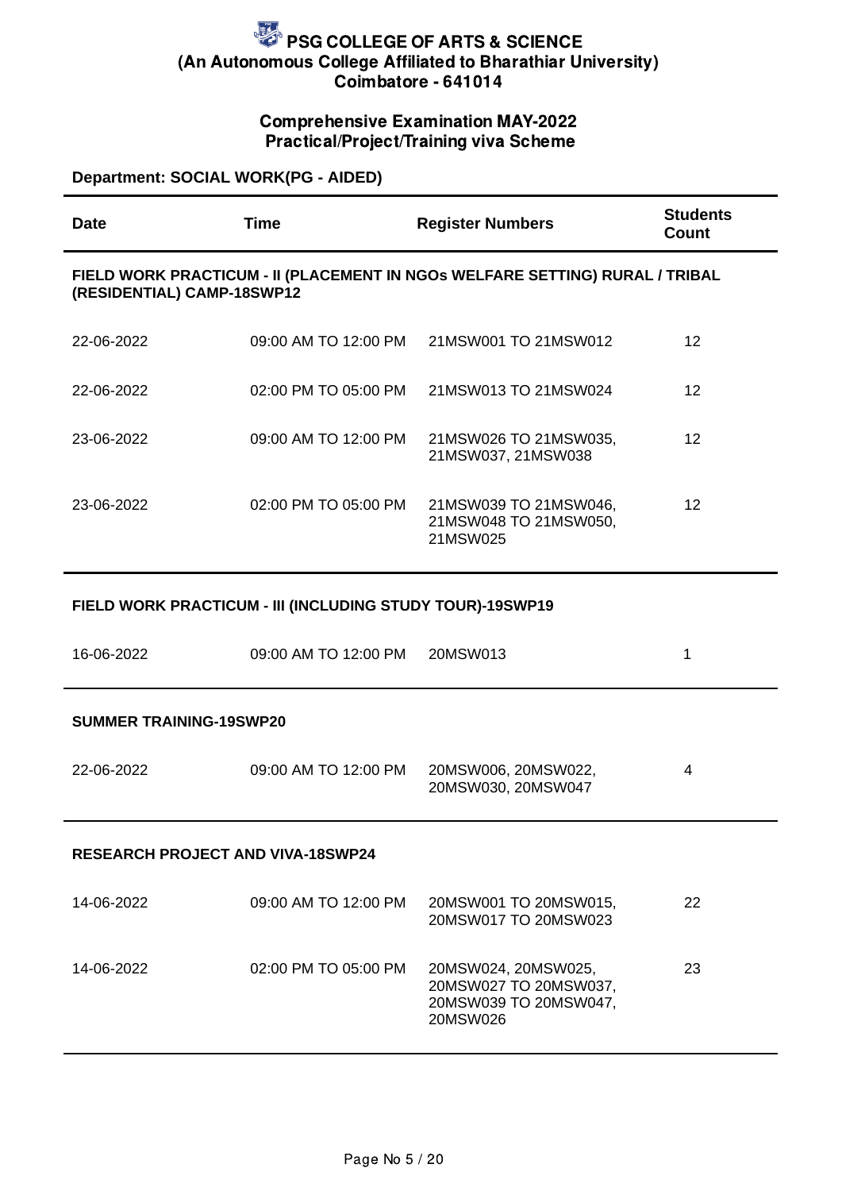## Comprehensive Examination MAY-2022 Practical/Project/Training viva Scheme

### **Department: SOCIAL WORK(PG - AIDED)**

| <b>Date</b>                              | <b>Time</b>                                               | <b>Register Numbers</b>                                                           | <b>Students</b><br><b>Count</b> |  |
|------------------------------------------|-----------------------------------------------------------|-----------------------------------------------------------------------------------|---------------------------------|--|
| (RESIDENTIAL) CAMP-18SWP12               |                                                           | FIELD WORK PRACTICUM - II (PLACEMENT IN NGOS WELFARE SETTING) RURAL / TRIBAL      |                                 |  |
| 22-06-2022                               | 09:00 AM TO 12:00 PM                                      | 21MSW001 TO 21MSW012                                                              | 12                              |  |
| 22-06-2022                               | 02:00 PM TO 05:00 PM                                      | 21MSW013 TO 21MSW024                                                              | 12                              |  |
| 23-06-2022                               | 09:00 AM TO 12:00 PM                                      | 21MSW026 TO 21MSW035,<br>21MSW037, 21MSW038                                       | 12                              |  |
| 23-06-2022                               | 02:00 PM TO 05:00 PM                                      | 21MSW039 TO 21MSW046,<br>21MSW048 TO 21MSW050,<br>21MSW025                        | 12                              |  |
|                                          | FIELD WORK PRACTICUM - III (INCLUDING STUDY TOUR)-19SWP19 |                                                                                   |                                 |  |
| 16-06-2022                               | 09:00 AM TO 12:00 PM                                      | 20MSW013                                                                          | $\mathbf{1}$                    |  |
| <b>SUMMER TRAINING-19SWP20</b>           |                                                           |                                                                                   |                                 |  |
| 22-06-2022                               | 09:00 AM TO 12:00 PM                                      | 20MSW006, 20MSW022,<br>20MSW030, 20MSW047                                         | $\overline{4}$                  |  |
| <b>RESEARCH PROJECT AND VIVA-18SWP24</b> |                                                           |                                                                                   |                                 |  |
| 14-06-2022                               | 09:00 AM TO 12:00 PM                                      | 20MSW001 TO 20MSW015,<br>20MSW017 TO 20MSW023                                     | 22                              |  |
| 14-06-2022                               | 02:00 PM TO 05:00 PM                                      | 20MSW024, 20MSW025,<br>20MSW027 TO 20MSW037,<br>20MSW039 TO 20MSW047,<br>20MSW026 | 23                              |  |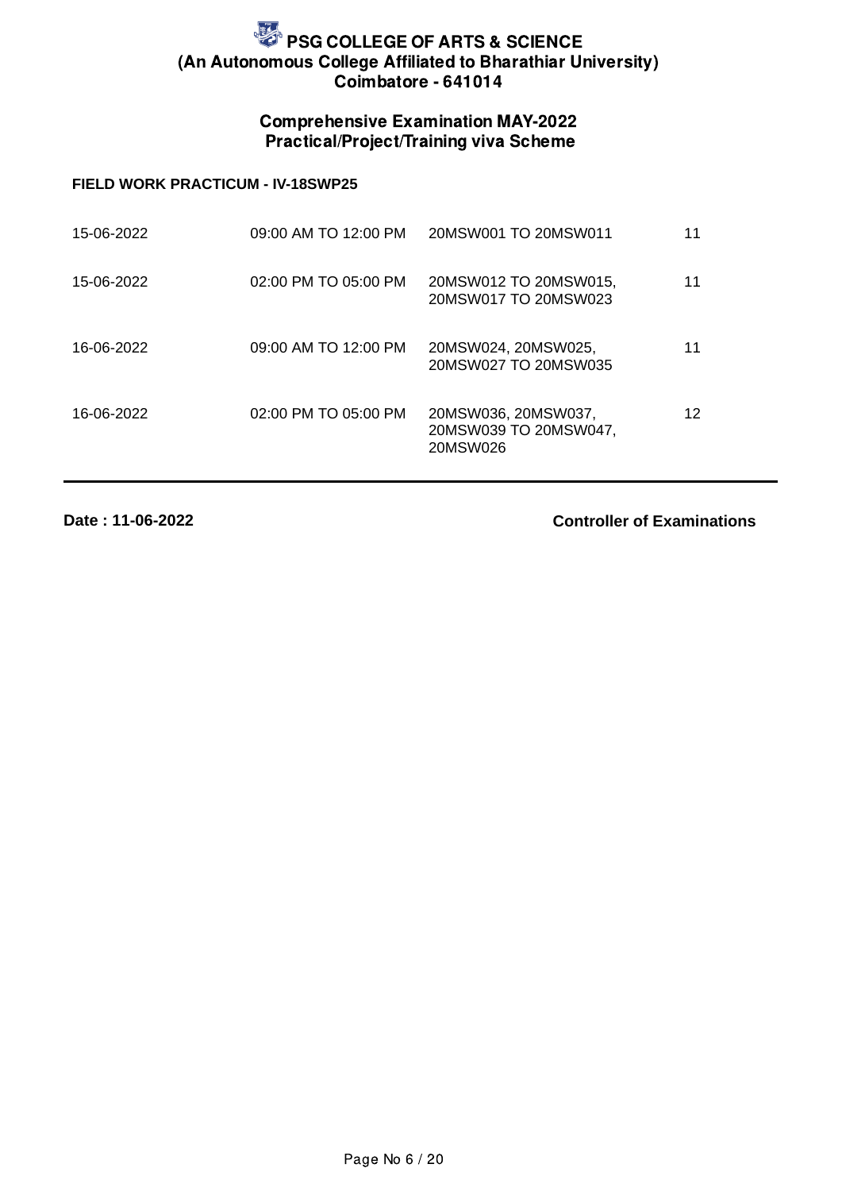## Comprehensive Examination MAY-2022 Practical/Project/Training viva Scheme

#### **FIELD WORK PRACTICUM - IV-18SWP25**

| 15-06-2022 | 09:00 AM TO 12:00 PM | 20MSW001 TO 20MSW011                                     | 11 |
|------------|----------------------|----------------------------------------------------------|----|
| 15-06-2022 | 02:00 PM TO 05:00 PM | 20MSW012 TO 20MSW015,<br>20MSW017 TO 20MSW023            | 11 |
| 16-06-2022 | 09:00 AM TO 12:00 PM | 20MSW024, 20MSW025,<br>20MSW027 TO 20MSW035              | 11 |
| 16-06-2022 | 02:00 PM TO 05:00 PM | 20MSW036, 20MSW037,<br>20MSW039 TO 20MSW047,<br>20MSW026 | 12 |

**Date : 11-06-2022**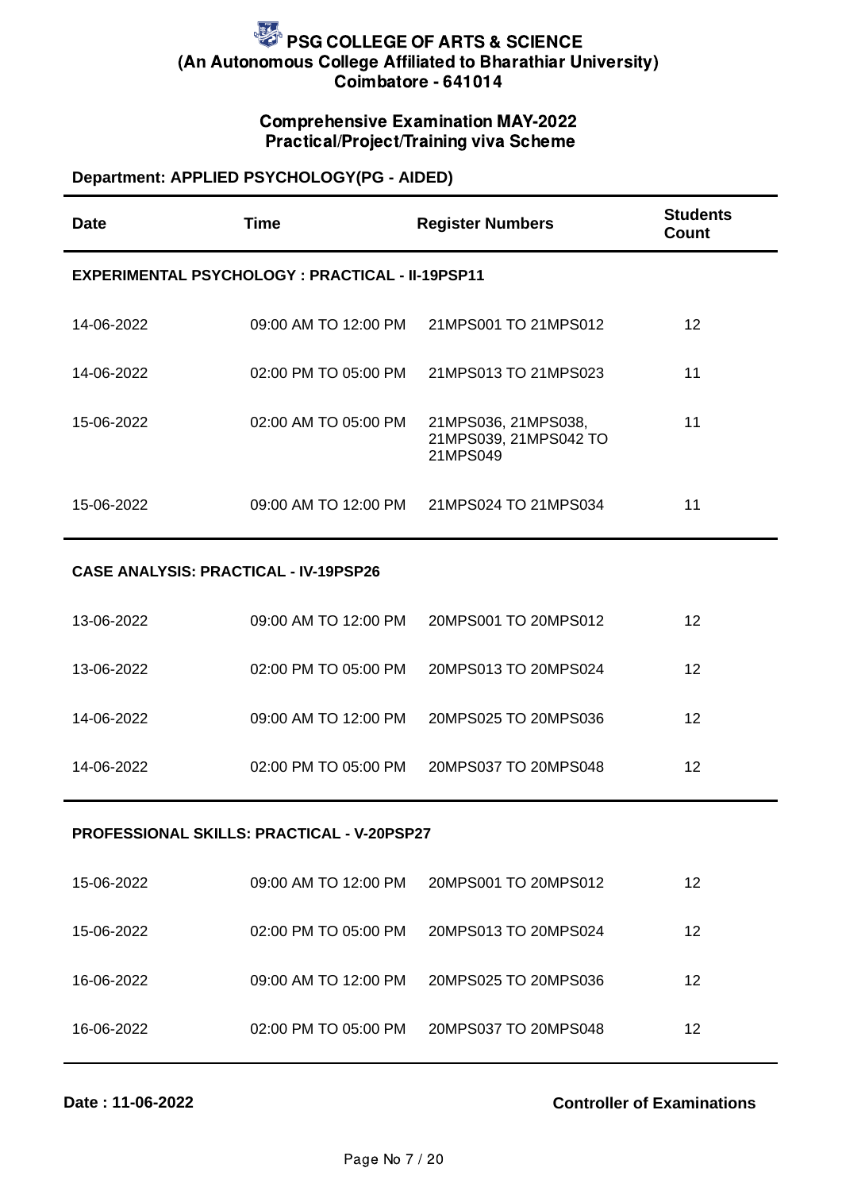### Comprehensive Examination MAY-2022 Practical/Project/Training viva Scheme

#### **Department: APPLIED PSYCHOLOGY(PG - AIDED)**

| <b>Date</b>                                  | <b>Time</b>                                      | <b>Register Numbers</b>                                  | <b>Students</b><br>Count |
|----------------------------------------------|--------------------------------------------------|----------------------------------------------------------|--------------------------|
|                                              | EXPERIMENTAL PSYCHOLOGY : PRACTICAL - II-19PSP11 |                                                          |                          |
| 14-06-2022                                   | 09:00 AM TO 12:00 PM                             | 21MPS001 TO 21MPS012                                     | 12                       |
| 14-06-2022                                   | 02:00 PM TO 05:00 PM                             | 21MPS013 TO 21MPS023                                     | 11                       |
| 15-06-2022                                   | 02:00 AM TO 05:00 PM                             | 21MPS036, 21MPS038,<br>21MPS039, 21MPS042 TO<br>21MPS049 | 11                       |
| 15-06-2022                                   | 09:00 AM TO 12:00 PM                             | 21MPS024 TO 21MPS034                                     | 11                       |
| <b>CASE ANALYSIS: PRACTICAL - IV-19PSP26</b> |                                                  |                                                          |                          |
| 13-06-2022                                   | 09:00 AM TO 12:00 PM                             | 20MPS001 TO 20MPS012                                     | 12                       |
| 13-06-2022                                   | 02:00 PM TO 05:00 PM                             | 20MPS013 TO 20MPS024                                     | 12                       |
| 14-06-2022                                   | 09:00 AM TO 12:00 PM                             | 20MPS025 TO 20MPS036                                     | 12                       |

14-06-2022 02:00 PM TO 05:00 PM 20MPS037 TO 20MPS048 12

#### **PROFESSIONAL SKILLS: PRACTICAL - V-20PSP27**

| 15-06-2022 | 09:00 AM TO 12:00 PM | 20MPS001 TO 20MPS012 | 12 |
|------------|----------------------|----------------------|----|
| 15-06-2022 | 02:00 PM TO 05:00 PM | 20MPS013 TO 20MPS024 | 12 |
| 16-06-2022 | 09:00 AM TO 12:00 PM | 20MPS025 TO 20MPS036 | 12 |
| 16-06-2022 | 02:00 PM TO 05:00 PM | 20MPS037 TO 20MPS048 | 12 |

#### **Date : 11-06-2022**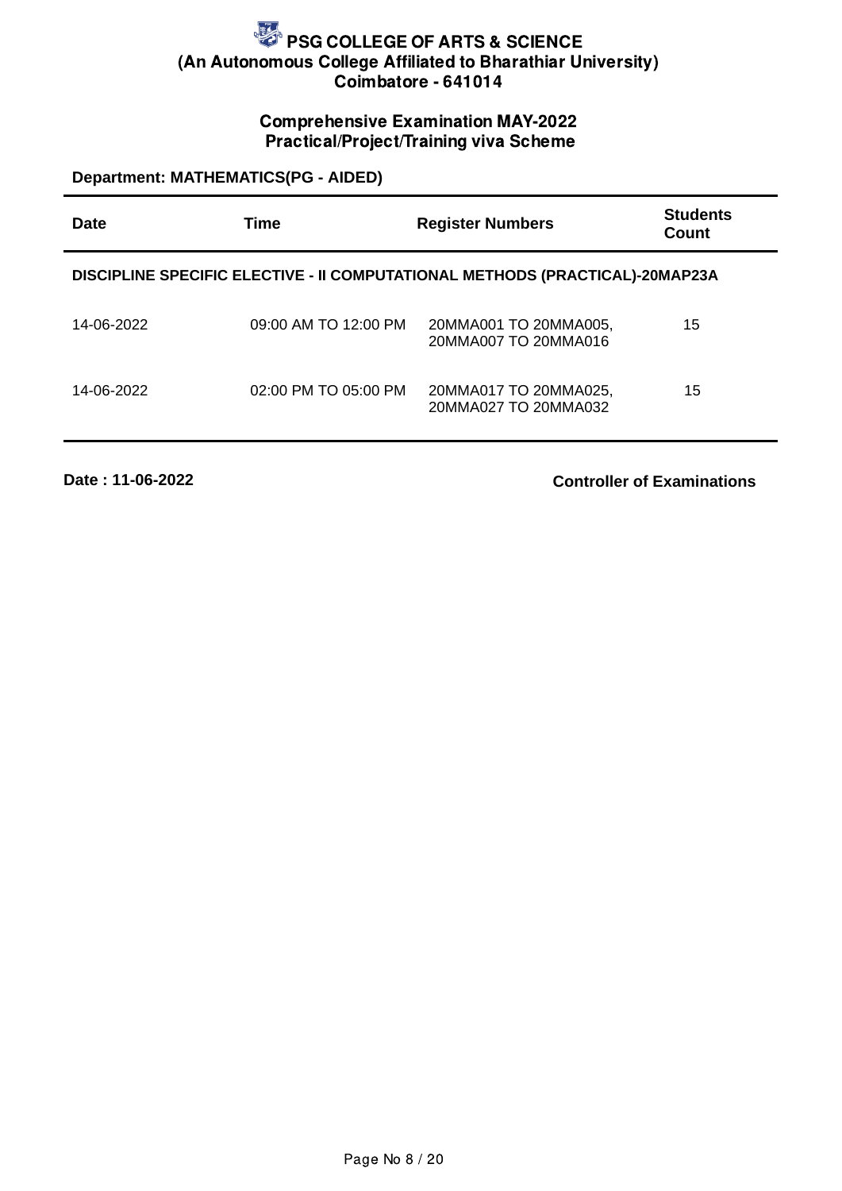## Comprehensive Examination MAY-2022 Practical/Project/Training viva Scheme

**Department: MATHEMATICS(PG - AIDED)**

| Date       | <b>Time</b>          | <b>Register Numbers</b>                                                      | <b>Students</b><br>Count |
|------------|----------------------|------------------------------------------------------------------------------|--------------------------|
|            |                      | DISCIPLINE SPECIFIC ELECTIVE - II COMPUTATIONAL METHODS (PRACTICAL)-20MAP23A |                          |
| 14-06-2022 | 09:00 AM TO 12:00 PM | 20MMA001 TO 20MMA005,<br>20MMA007 TO 20MMA016                                | 15                       |
| 14-06-2022 | 02:00 PM TO 05:00 PM | 20MMA017 TO 20MMA025,<br>20MMA027 TO 20MMA032                                | 15                       |

**Date : 11-06-2022**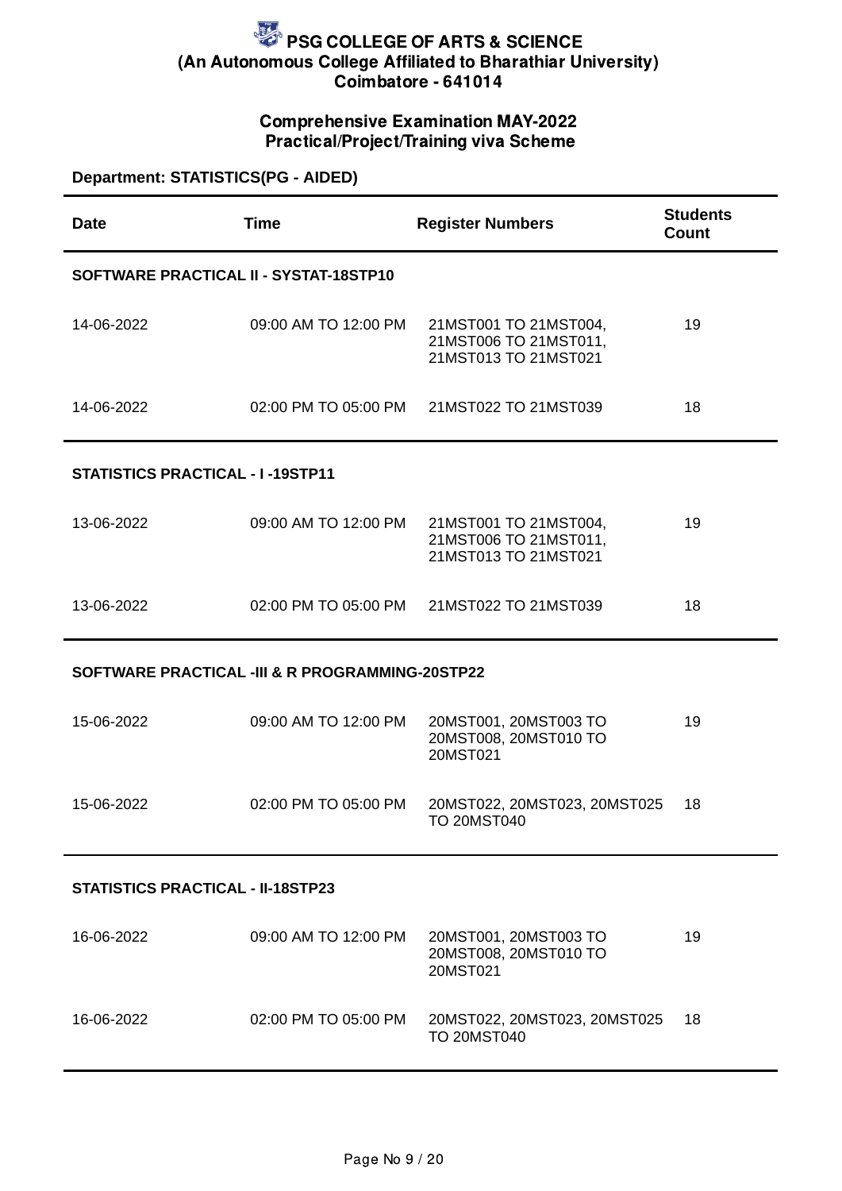### Comprehensive Examination MAY-2022 Practical/Project/Training viva Scheme

**Department: STATISTICS(PG - AIDED)**

| <b>Date</b>                              | <b>Time</b>                                     | <b>Register Numbers</b>                                                | <b>Students</b><br><b>Count</b> |
|------------------------------------------|-------------------------------------------------|------------------------------------------------------------------------|---------------------------------|
| SOFTWARE PRACTICAL II - SYSTAT-18STP10   |                                                 |                                                                        |                                 |
| 14-06-2022                               | 09:00 AM TO 12:00 PM                            | 21MST001 TO 21MST004,<br>21MST006 TO 21MST011,<br>21MST013 TO 21MST021 | 19                              |
| 14-06-2022                               | 02:00 PM TO 05:00 PM                            | 21MST022 TO 21MST039                                                   | 18                              |
| <b>STATISTICS PRACTICAL - I-19STP11</b>  |                                                 |                                                                        |                                 |
| 13-06-2022                               | 09:00 AM TO 12:00 PM                            | 21MST001 TO 21MST004,<br>21MST006 TO 21MST011,<br>21MST013 TO 21MST021 | 19                              |
| 13-06-2022                               | 02:00 PM TO 05:00 PM                            | 21MST022 TO 21MST039                                                   | 18                              |
|                                          | SOFTWARE PRACTICAL -III & R PROGRAMMING-20STP22 |                                                                        |                                 |
| 15-06-2022                               | 09:00 AM TO 12:00 PM                            | 20MST001, 20MST003 TO<br>20MST008, 20MST010 TO<br>20MST021             | 19                              |
| 15-06-2022                               | 02:00 PM TO 05:00 PM                            | 20MST022, 20MST023, 20MST025<br><b>TO 20MST040</b>                     | 18                              |
| <b>STATISTICS PRACTICAL - II-18STP23</b> |                                                 |                                                                        |                                 |
| 16-06-2022                               | 09:00 AM TO 12:00 PM                            | 20MST001, 20MST003 TO<br>20MST008, 20MST010 TO<br>20MST021             | 19                              |
| 16-06-2022                               | 02:00 PM TO 05:00 PM                            | 20MST022, 20MST023, 20MST025<br><b>TO 20MST040</b>                     | 18                              |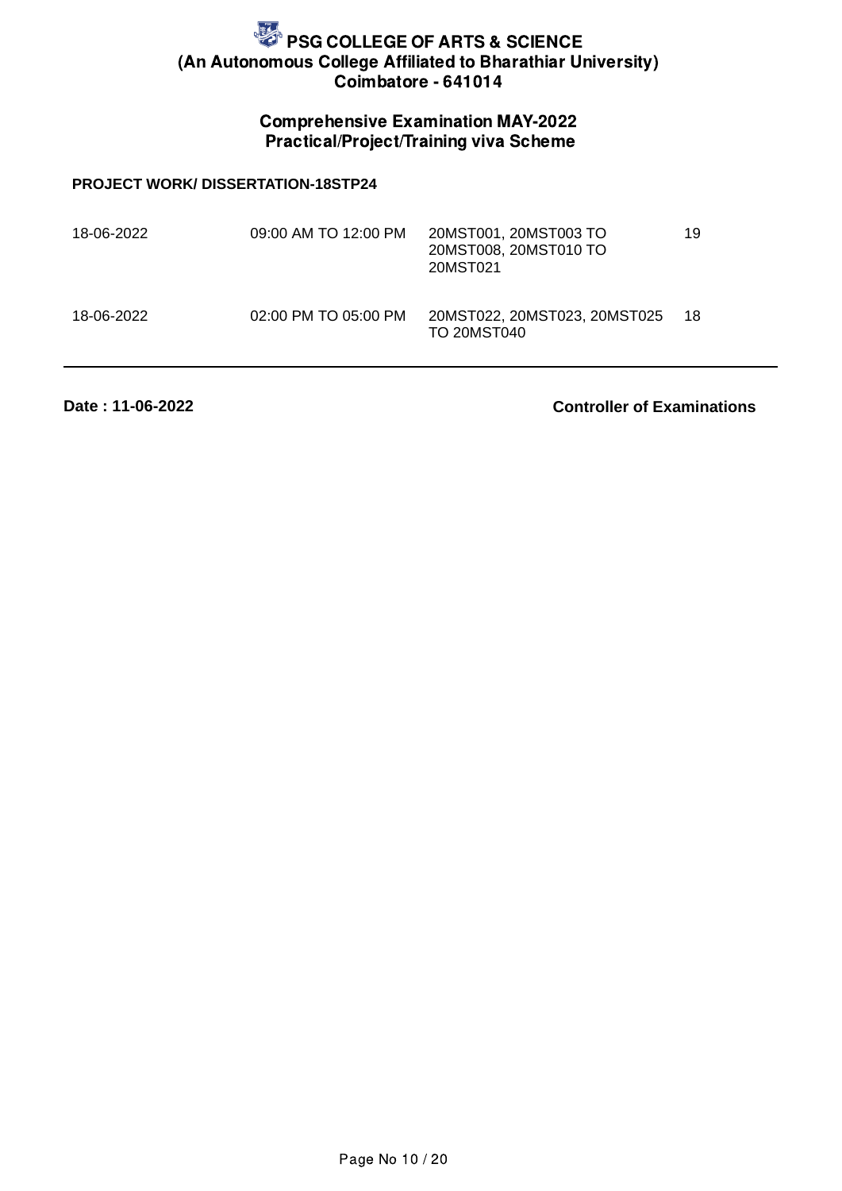## Comprehensive Examination MAY-2022 Practical/Project/Training viva Scheme

#### **PROJECT WORK/ DISSERTATION-18STP24**

| 18-06-2022 | 09:00 AM TO 12:00 PM | 20MST001, 20MST003 TO<br>20MST008, 20MST010 TO<br>20MST021 | 19  |
|------------|----------------------|------------------------------------------------------------|-----|
| 18-06-2022 | 02:00 PM TO 05:00 PM | 20MST022, 20MST023, 20MST025<br>TO 20MST040                | -18 |

**Date : 11-06-2022**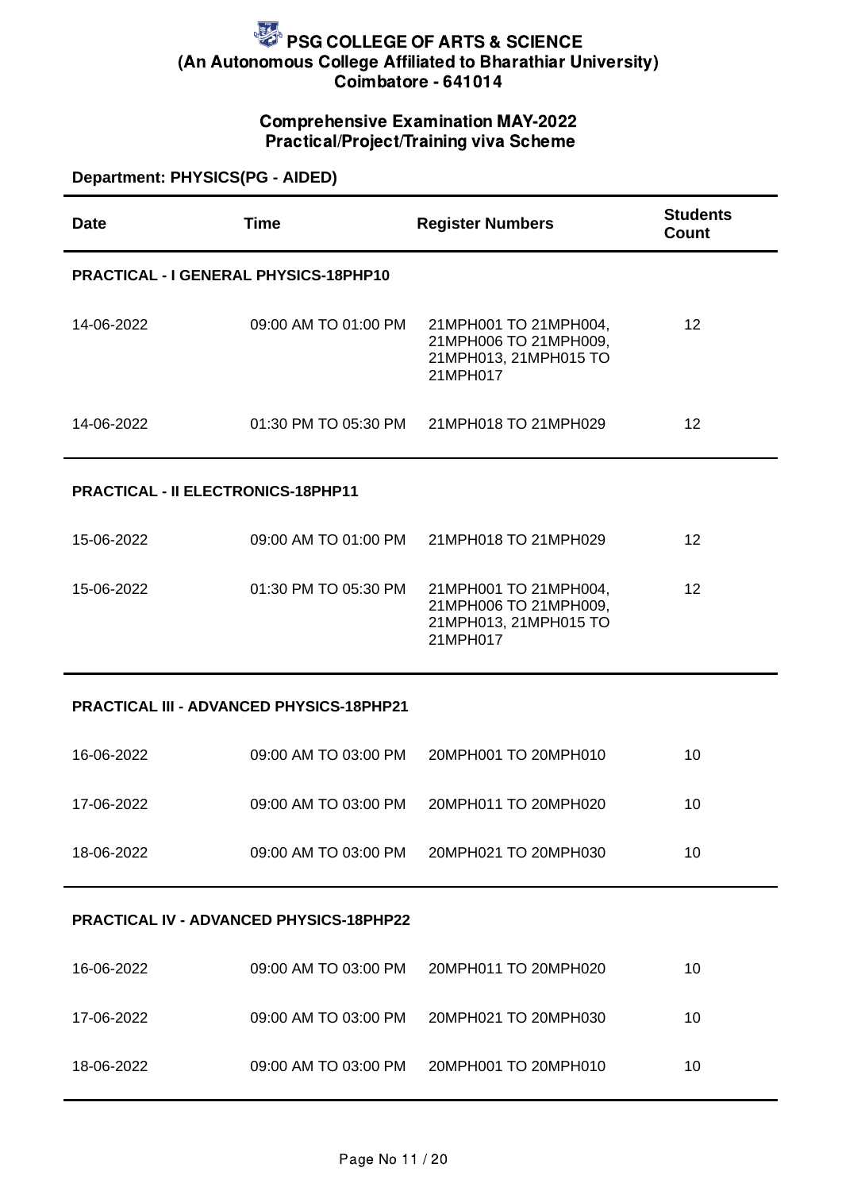### Comprehensive Examination MAY-2022 Practical/Project/Training viva Scheme

|  | Department: PHYSICS(PG - AIDED) |  |
|--|---------------------------------|--|
|--|---------------------------------|--|

| Date                                           | Time                                            | <b>Register Numbers</b>                                                             | <b>Students</b><br>Count |  |
|------------------------------------------------|-------------------------------------------------|-------------------------------------------------------------------------------------|--------------------------|--|
| PRACTICAL - I GENERAL PHYSICS-18PHP10          |                                                 |                                                                                     |                          |  |
| 14-06-2022                                     | 09:00 AM TO 01:00 PM                            | 21MPH001 TO 21MPH004,<br>21MPH006 TO 21MPH009,<br>21MPH013, 21MPH015 TO<br>21MPH017 | 12                       |  |
| 14-06-2022                                     |                                                 | 01:30 PM TO 05:30 PM 21MPH018 TO 21MPH029                                           | 12                       |  |
| <b>PRACTICAL - II ELECTRONICS-18PHP11</b>      |                                                 |                                                                                     |                          |  |
| 15-06-2022                                     | 09:00 AM TO 01:00 PM                            | 21MPH018 TO 21MPH029                                                                | 12                       |  |
| 15-06-2022                                     | 01:30 PM TO 05:30 PM                            | 21MPH001 TO 21MPH004,<br>21МРН006 ТО 21МРН009,<br>21MPH013, 21MPH015 TO<br>21MPH017 | 12                       |  |
|                                                | <b>PRACTICAL III - ADVANCED PHYSICS-18PHP21</b> |                                                                                     |                          |  |
| 16-06-2022                                     | 09:00 AM TO 03:00 PM                            | 20MPH001 TO 20MPH010                                                                | 10                       |  |
| 17-06-2022                                     | 09:00 AM TO 03:00 PM                            | 20MPH011 TO 20MPH020                                                                | 10                       |  |
| 18-06-2022                                     | 09:00 AM TO 03:00 PM                            | 20MPH021 TO 20MPH030                                                                | 10                       |  |
| <b>PRACTICAL IV - ADVANCED PHYSICS-18PHP22</b> |                                                 |                                                                                     |                          |  |
| 16-06-2022                                     | 09:00 AM TO 03:00 PM                            | 20MPH011 TO 20MPH020                                                                | 10                       |  |
| 17-06-2022                                     | 09:00 AM TO 03:00 PM                            | 20MPH021 TO 20MPH030                                                                | 10                       |  |
| 18-06-2022                                     | 09:00 AM TO 03:00 PM                            | 20MPH001 TO 20MPH010                                                                | 10                       |  |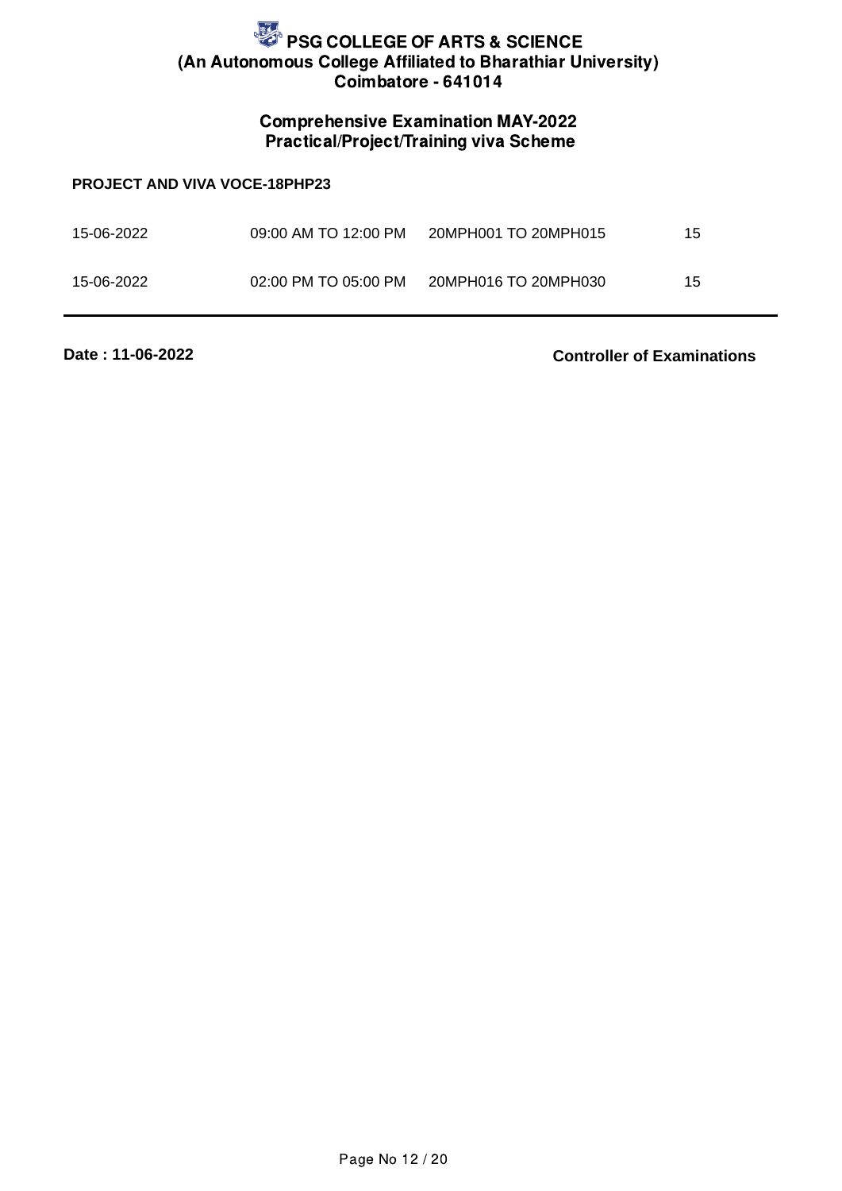### Comprehensive Examination MAY-2022 Practical/Project/Training viva Scheme

#### **PROJECT AND VIVA VOCE-18PHP23**

| 15-06-2022 | 09:00 AM TO 12:00 PM | 20MPH001 TO 20MPH015 | 15 |
|------------|----------------------|----------------------|----|
| 15-06-2022 | 02:00 PM TO 05:00 PM | 20MPH016 TO 20MPH030 | 15 |

**Date : 11-06-2022**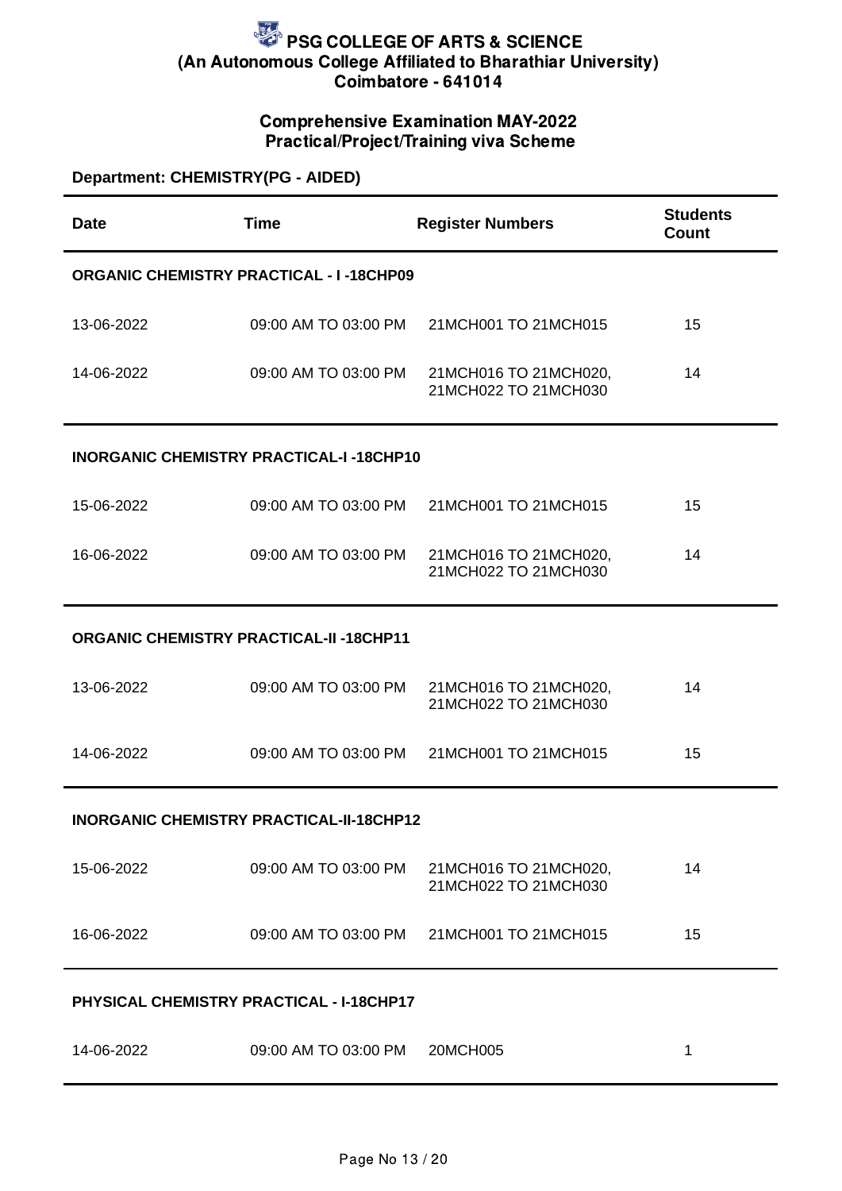## Comprehensive Examination MAY-2022 Practical/Project/Training viva Scheme

| <b>Department: CHEMISTRY(PG - AIDED)</b>        |                                                |                                               |                          |  |
|-------------------------------------------------|------------------------------------------------|-----------------------------------------------|--------------------------|--|
| <b>Date</b>                                     | <b>Time</b>                                    | <b>Register Numbers</b>                       | <b>Students</b><br>Count |  |
|                                                 | <b>ORGANIC CHEMISTRY PRACTICAL - I-18CHP09</b> |                                               |                          |  |
| 13-06-2022                                      | 09:00 AM TO 03:00 PM                           | 21MCH001 TO 21MCH015                          | 15                       |  |
| 14-06-2022                                      | 09:00 AM TO 03:00 PM                           | 21MCH016 TO 21MCH020,<br>21MCH022 TO 21MCH030 | 14                       |  |
|                                                 | <b>INORGANIC CHEMISTRY PRACTICAL-I-18CHP10</b> |                                               |                          |  |
| 15-06-2022                                      | 09:00 AM TO 03:00 PM                           | 21MCH001 TO 21MCH015                          | 15                       |  |
| 16-06-2022                                      | 09:00 AM TO 03:00 PM                           | 21MCH016 TO 21MCH020,<br>21MCH022 TO 21MCH030 | 14                       |  |
|                                                 | <b>ORGANIC CHEMISTRY PRACTICAL-II -18CHP11</b> |                                               |                          |  |
| 13-06-2022                                      | 09:00 AM TO 03:00 PM                           | 21MCH016 TO 21MCH020,<br>21MCH022 TO 21MCH030 | 14                       |  |
| 14-06-2022                                      | 09:00 AM TO 03:00 PM                           | 21MCH001 TO 21MCH015                          | 15                       |  |
| <b>INORGANIC CHEMISTRY PRACTICAL-II-18CHP12</b> |                                                |                                               |                          |  |
| 15-06-2022                                      | 09:00 AM TO 03:00 PM                           | 21MCH016 TO 21MCH020,<br>21MCH022 TO 21MCH030 | 14                       |  |
| 16-06-2022                                      | 09:00 AM TO 03:00 PM                           | 21MCH001 TO 21MCH015                          | 15                       |  |
| PHYSICAL CHEMISTRY PRACTICAL - I-18CHP17        |                                                |                                               |                          |  |

| 14-06-2022 | 09:00 AM TO 03:00 PM | 20MCH005 |  |
|------------|----------------------|----------|--|
|            |                      |          |  |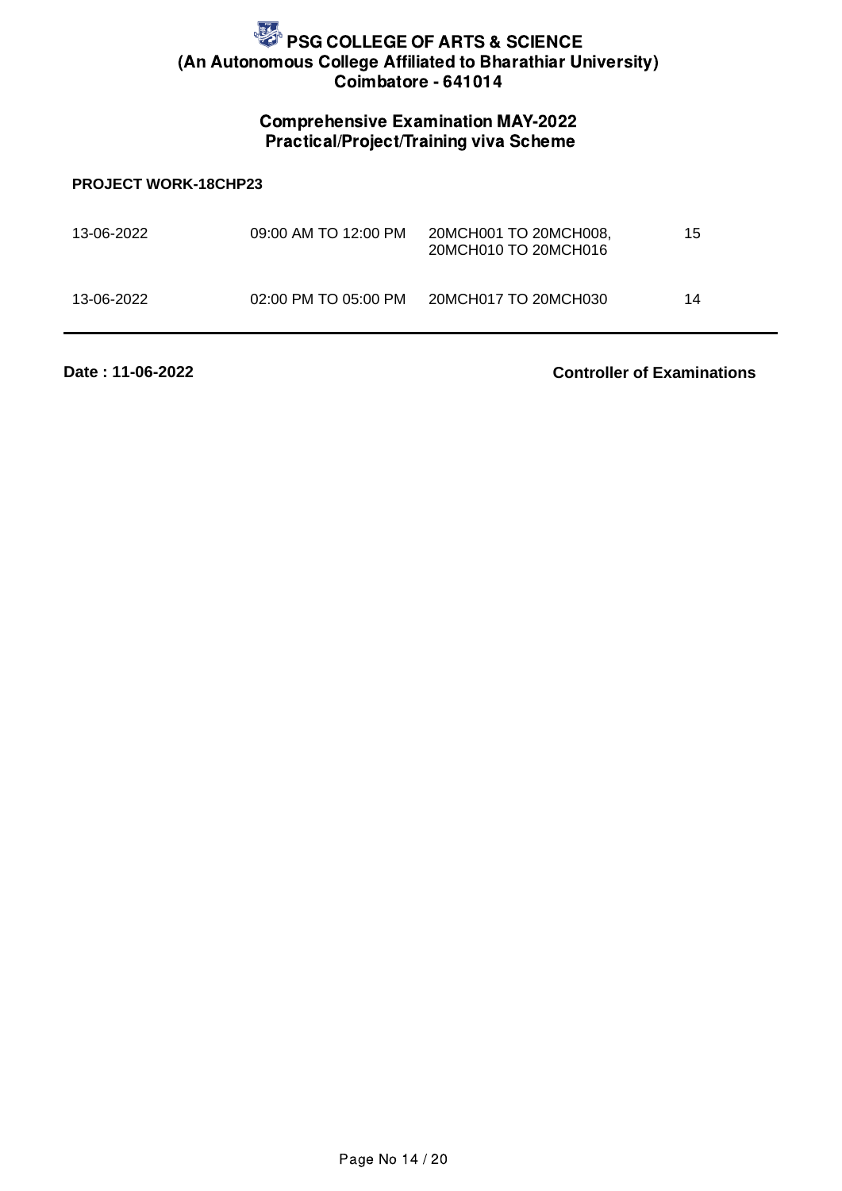## Comprehensive Examination MAY-2022 Practical/Project/Training viva Scheme

#### **PROJECT WORK-18CHP23**

| 13-06-2022 | 09:00 AM TO 12:00 PM | 20MCH001 TO 20MCH008,<br>20MCH010 TO 20MCH016 | 15 |
|------------|----------------------|-----------------------------------------------|----|
| 13-06-2022 | 02:00 PM TO 05:00 PM | 20MCH017 TO 20MCH030                          | 14 |

**Date : 11-06-2022**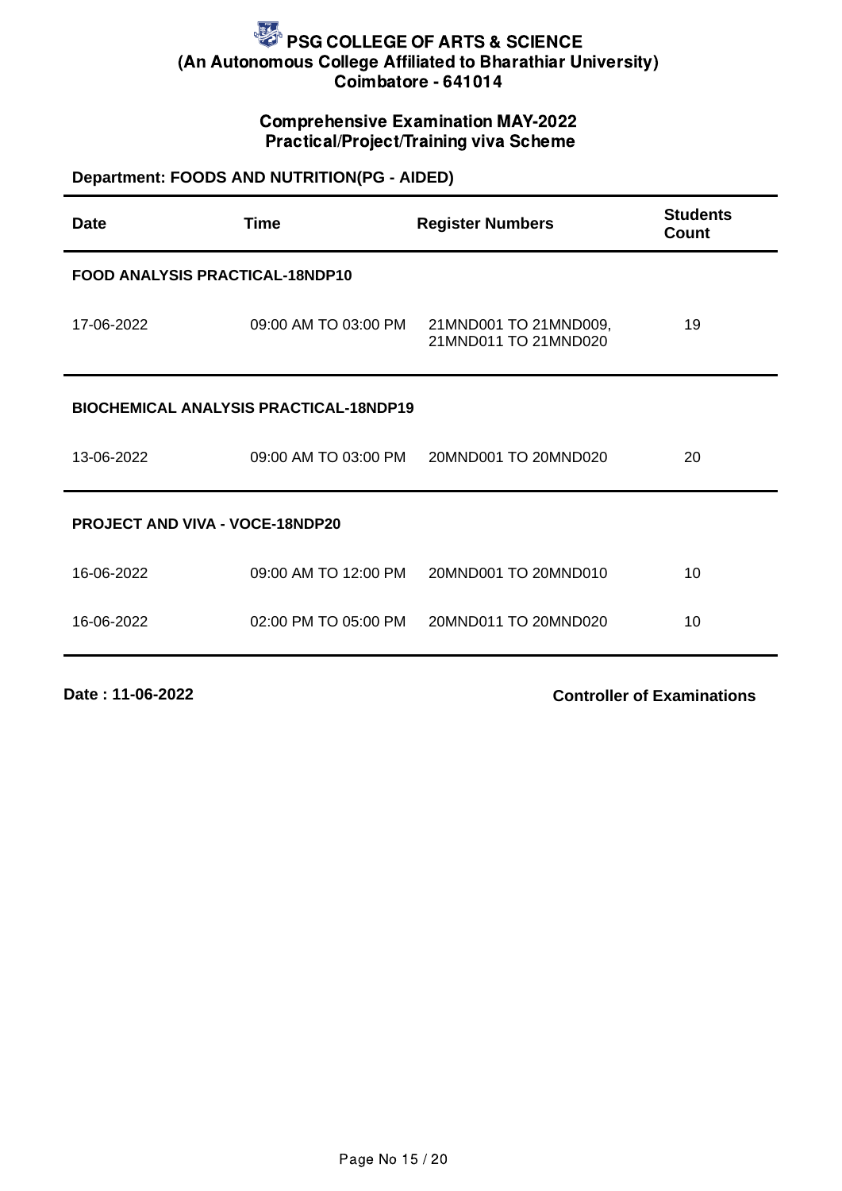## Comprehensive Examination MAY-2022 Practical/Project/Training viva Scheme

## **Department: FOODS AND NUTRITION(PG - AIDED)**

| <b>Date</b>                                   | <b>Time</b>          | <b>Register Numbers</b>                       | <b>Students</b><br><b>Count</b> |  |
|-----------------------------------------------|----------------------|-----------------------------------------------|---------------------------------|--|
| <b>FOOD ANALYSIS PRACTICAL-18NDP10</b>        |                      |                                               |                                 |  |
| 17-06-2022                                    | 09:00 AM TO 03:00 PM | 21MND001 TO 21MND009,<br>21MND011 TO 21MND020 | 19                              |  |
| <b>BIOCHEMICAL ANALYSIS PRACTICAL-18NDP19</b> |                      |                                               |                                 |  |
| 13-06-2022                                    | 09:00 AM TO 03:00 PM | 20MND001 TO 20MND020                          | 20                              |  |
| <b>PROJECT AND VIVA - VOCE-18NDP20</b>        |                      |                                               |                                 |  |
| 16-06-2022                                    | 09:00 AM TO 12:00 PM | 20MND001 TO 20MND010                          | 10                              |  |
| 16-06-2022                                    | 02:00 PM TO 05:00 PM | 20MND011 TO 20MND020                          | 10                              |  |

**Date : 11-06-2022**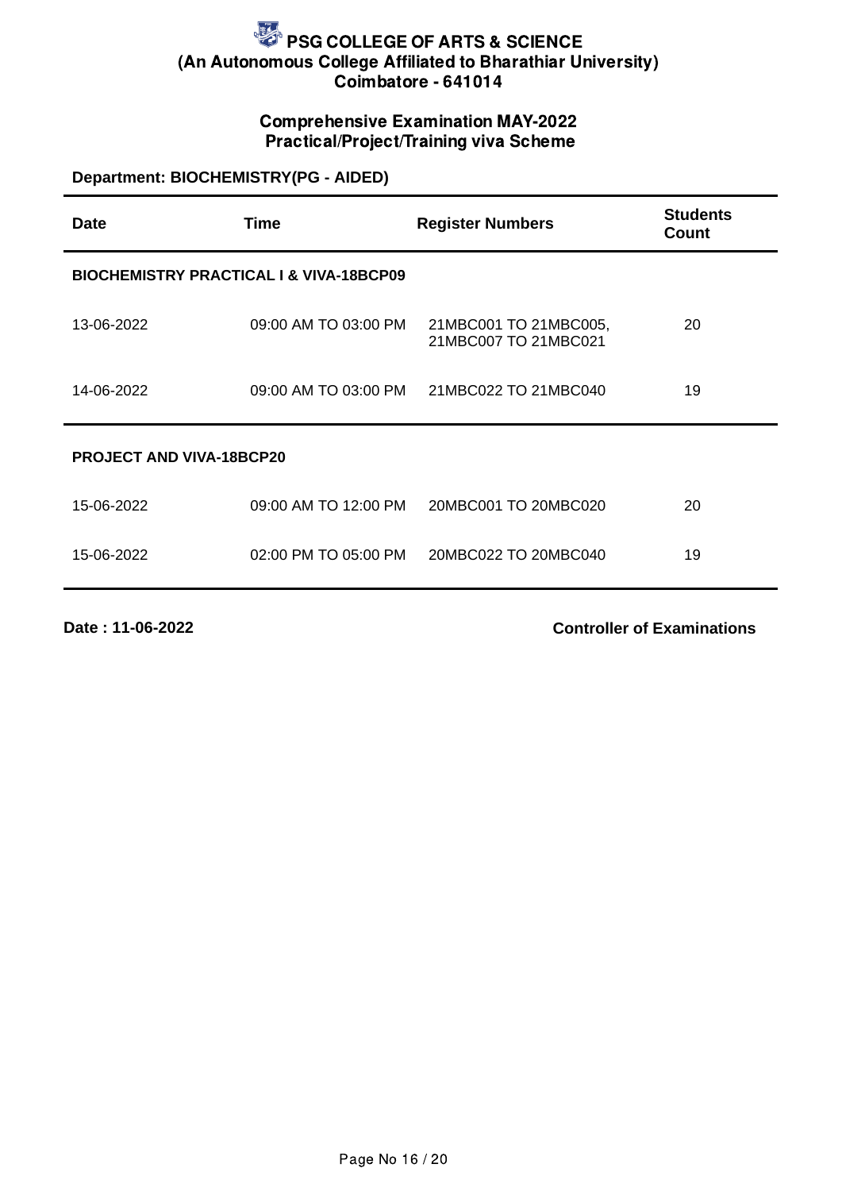## Comprehensive Examination MAY-2022 Practical/Project/Training viva Scheme

**Department: BIOCHEMISTRY(PG - AIDED)**

| Date                            | Time                                               | <b>Register Numbers</b>                       | <b>Students</b><br>Count |  |
|---------------------------------|----------------------------------------------------|-----------------------------------------------|--------------------------|--|
|                                 | <b>BIOCHEMISTRY PRACTICAL I &amp; VIVA-18BCP09</b> |                                               |                          |  |
| 13-06-2022                      | 09:00 AM TO 03:00 PM                               | 21MBC001 TO 21MBC005,<br>21MBC007 TO 21MBC021 | 20                       |  |
| 14-06-2022                      | 09:00 AM TO 03:00 PM                               | 21MBC022 TO 21MBC040                          | 19                       |  |
| <b>PROJECT AND VIVA-18BCP20</b> |                                                    |                                               |                          |  |
| 15-06-2022                      | 09:00 AM TO 12:00 PM                               | 20MBC001 TO 20MBC020                          | 20                       |  |
| 15-06-2022                      | 02:00 PM TO 05:00 PM                               | 20MBC022 TO 20MBC040                          | 19                       |  |

**Date : 11-06-2022**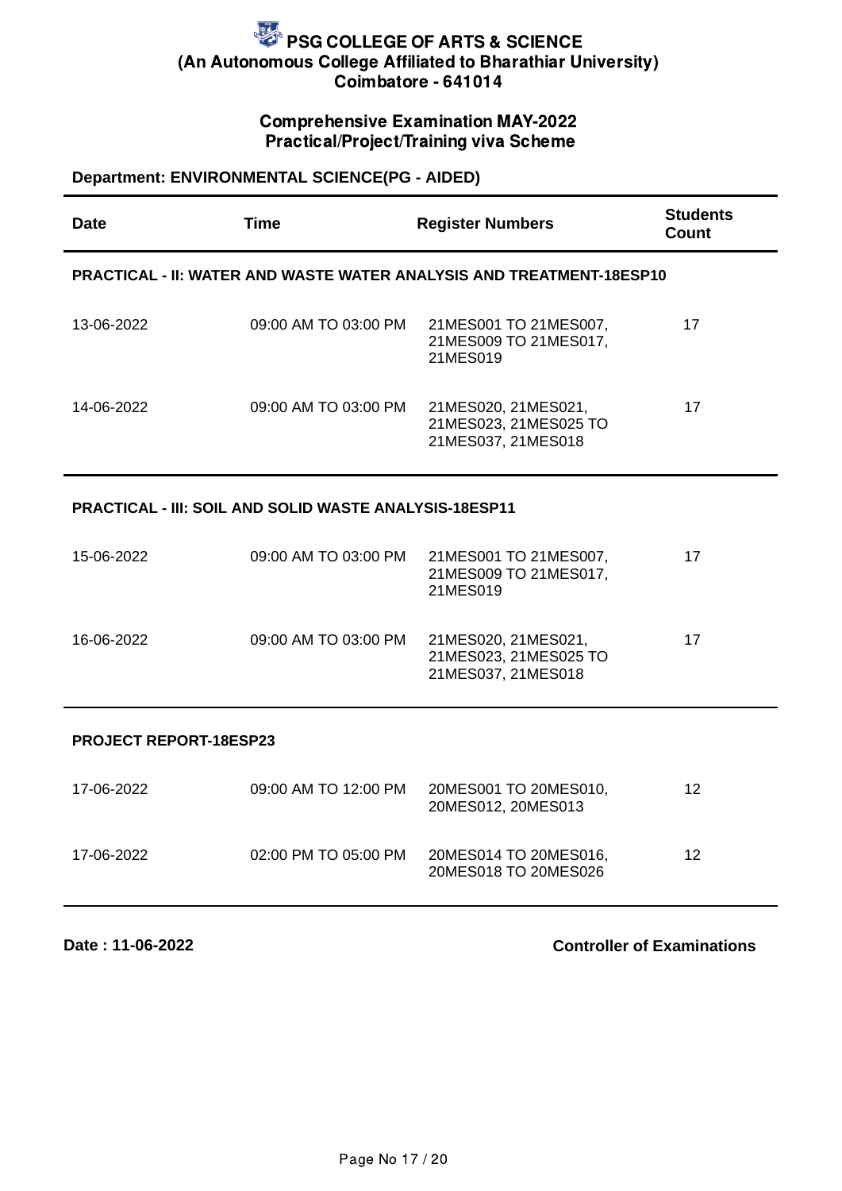## Comprehensive Examination MAY-2022 Practical/Project/Training viva Scheme

## **Department: ENVIRONMENTAL SCIENCE(PG - AIDED)**

| Date                          | <b>Time</b>                                                   | <b>Register Numbers</b>                                                     | <b>Students</b><br><b>Count</b> |  |
|-------------------------------|---------------------------------------------------------------|-----------------------------------------------------------------------------|---------------------------------|--|
|                               |                                                               | <b>PRACTICAL - II: WATER AND WASTE WATER ANALYSIS AND TREATMENT-18ESP10</b> |                                 |  |
| 13-06-2022                    | 09:00 AM TO 03:00 PM                                          | 21MES001 TO 21MES007,<br>21MES009 TO 21MES017,<br>21MES019                  | 17                              |  |
| 14-06-2022                    | 09:00 AM TO 03:00 PM                                          | 21MES020, 21MES021,<br>21MES023, 21MES025 TO<br>21MES037, 21MES018          | 17                              |  |
|                               | <b>PRACTICAL - III: SOIL AND SOLID WASTE ANALYSIS-18ESP11</b> |                                                                             |                                 |  |
| 15-06-2022                    | 09:00 AM TO 03:00 PM                                          | 21MES001 TO 21MES007,<br>21MES009 TO 21MES017,<br>21MES019                  | 17                              |  |
| 16-06-2022                    | 09:00 AM TO 03:00 PM                                          | 21MES020, 21MES021,<br>21MES023, 21MES025 TO<br>21MES037, 21MES018          | 17                              |  |
| <b>PROJECT REPORT-18ESP23</b> |                                                               |                                                                             |                                 |  |
| 17-06-2022                    | 09:00 AM TO 12:00 PM                                          | 20MES001 TO 20MES010,<br>20MES012, 20MES013                                 | 12                              |  |
| 17-06-2022                    | 02:00 PM TO 05:00 PM                                          | 20MES014 TO 20MES016,<br>20MES018 TO 20MES026                               | 12                              |  |

**Date : 11-06-2022**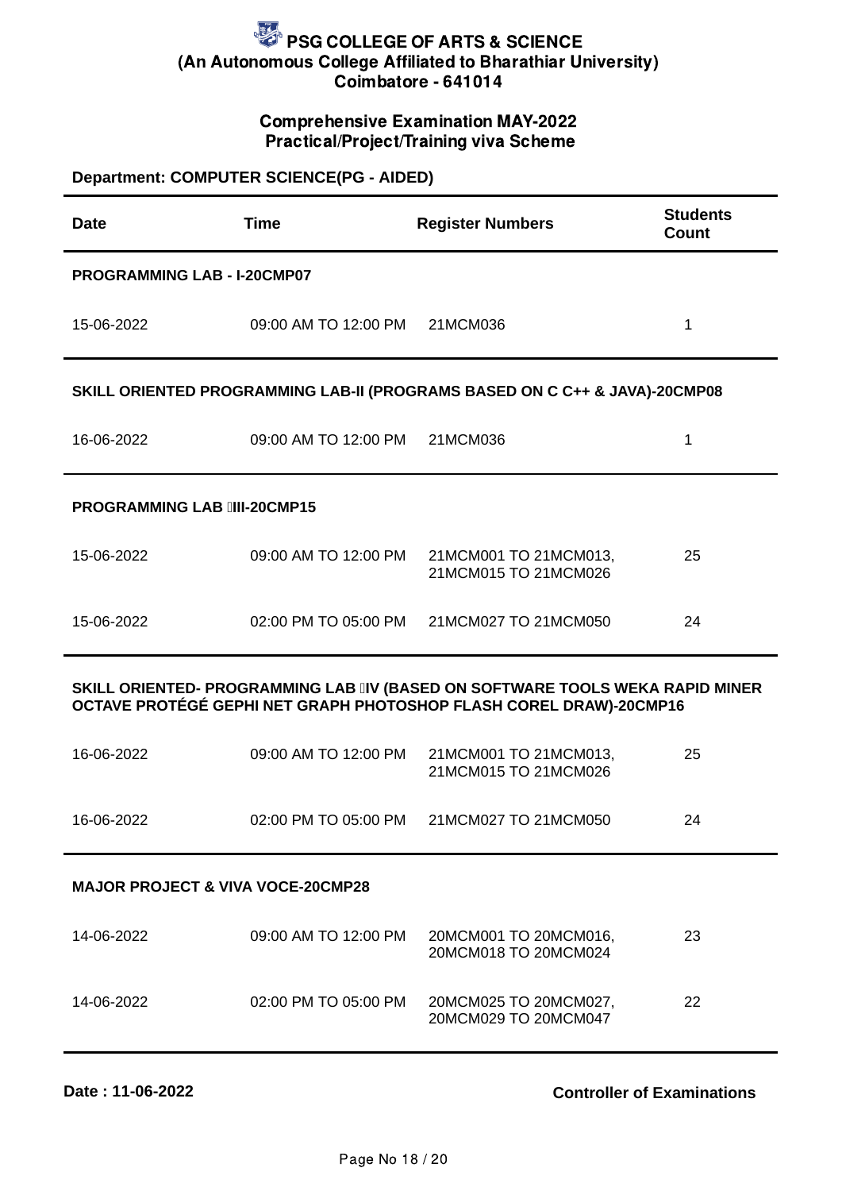## Comprehensive Examination MAY-2022 Practical/Project/Training viva Scheme

| Department: COMPUTER SCIENCE(PG - AIDED)     |                      |                                                                                                                                                     |                          |  |
|----------------------------------------------|----------------------|-----------------------------------------------------------------------------------------------------------------------------------------------------|--------------------------|--|
| <b>Date</b>                                  | <b>Time</b>          | <b>Register Numbers</b>                                                                                                                             | <b>Students</b><br>Count |  |
| PROGRAMMING LAB - I-20CMP07                  |                      |                                                                                                                                                     |                          |  |
| 15-06-2022                                   | 09:00 AM TO 12:00 PM | 21MCM036                                                                                                                                            | $\mathbf 1$              |  |
|                                              |                      | SKILL ORIENTED PROGRAMMING LAB-II (PROGRAMS BASED ON C C++ & JAVA)-20CMP08                                                                          |                          |  |
| 16-06-2022                                   | 09:00 AM TO 12:00 PM | 21MCM036                                                                                                                                            | $\mathbf{1}$             |  |
| <b>PROGRAMMING LAB IIII-20CMP15</b>          |                      |                                                                                                                                                     |                          |  |
| 15-06-2022                                   | 09:00 AM TO 12:00 PM | 21MCM001 TO 21MCM013,<br>21MCM015 TO 21MCM026                                                                                                       | 25                       |  |
| 15-06-2022                                   | 02:00 PM TO 05:00 PM | 21MCM027 TO 21MCM050                                                                                                                                | 24                       |  |
|                                              |                      | SKILL ORIENTED- PROGRAMMING LAB IIV (BASED ON SOFTWARE TOOLS WEKA RAPID MINER<br>OCTAVE PROTÉGÉ GEPHI NET GRAPH PHOTOSHOP FLASH COREL DRAW)-20CMP16 |                          |  |
| 16-06-2022                                   | 09:00 AM TO 12:00 PM | 21MCM001 TO 21MCM013,<br>21MCM015 TO 21MCM026                                                                                                       | 25                       |  |
| 16-06-2022                                   |                      | 02:00 PM TO 05:00 PM 21MCM027 TO 21MCM050                                                                                                           | 24                       |  |
| <b>MAJOR PROJECT &amp; VIVA VOCE-20CMP28</b> |                      |                                                                                                                                                     |                          |  |
| 14-06-2022                                   | 09:00 AM TO 12:00 PM | 20MCM001 TO 20MCM016,<br>20MCM018 TO 20MCM024                                                                                                       | 23                       |  |
| 14-06-2022                                   | 02:00 PM TO 05:00 PM | 20MCM025 TO 20MCM027,<br>20MCM029 TO 20MCM047                                                                                                       | 22                       |  |
|                                              |                      |                                                                                                                                                     |                          |  |

**Date : 11-06-2022**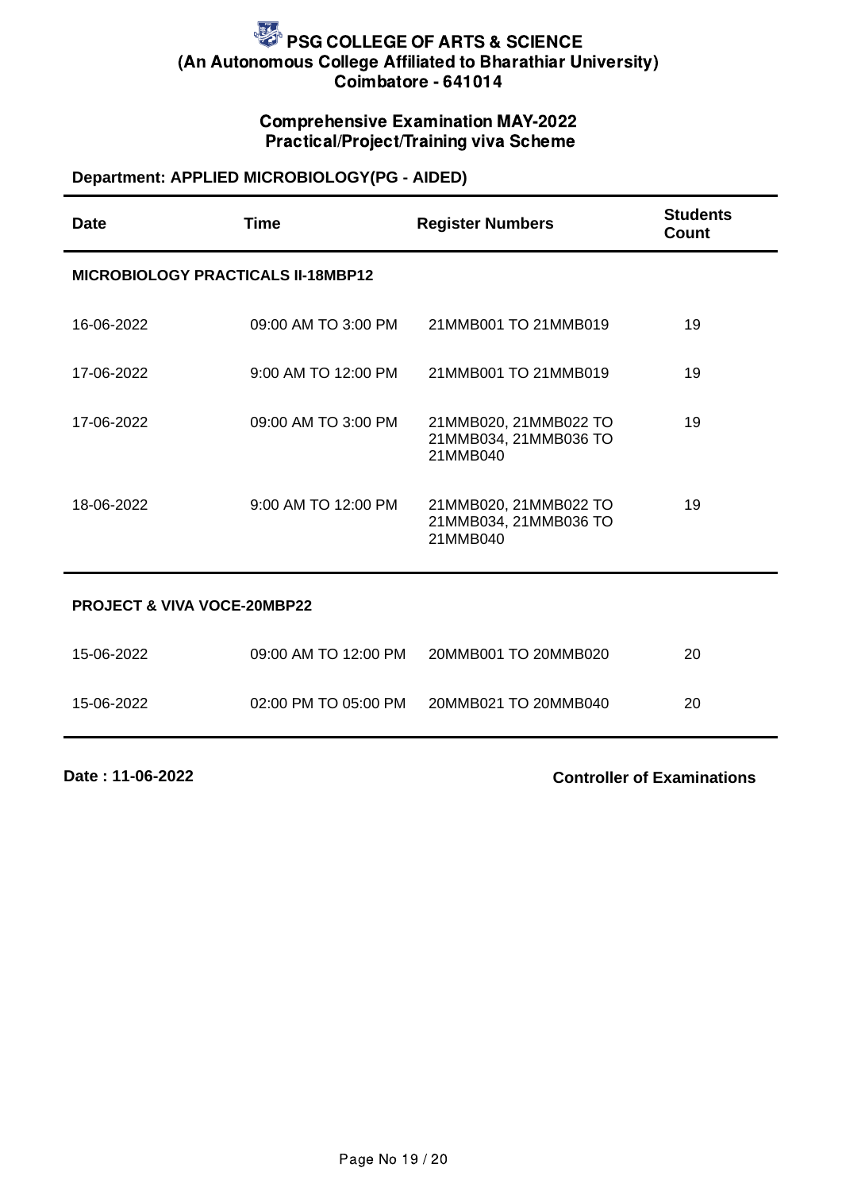## Comprehensive Examination MAY-2022 Practical/Project/Training viva Scheme

### **Department: APPLIED MICROBIOLOGY(PG - AIDED)**

| <b>Date</b>                               | <b>Time</b>          | <b>Register Numbers</b>                                    | <b>Students</b><br>Count |  |
|-------------------------------------------|----------------------|------------------------------------------------------------|--------------------------|--|
| <b>MICROBIOLOGY PRACTICALS II-18MBP12</b> |                      |                                                            |                          |  |
| 16-06-2022                                | 09:00 AM TO 3:00 PM  | 21MMB001 TO 21MMB019                                       | 19                       |  |
| 17-06-2022                                | 9:00 AM TO 12:00 PM  | 21MMB001 TO 21MMB019                                       | 19                       |  |
| 17-06-2022                                | 09:00 AM TO 3:00 PM  | 21MMB020, 21MMB022 TO<br>21MMB034, 21MMB036 TO<br>21MMB040 | 19                       |  |
| 18-06-2022                                | 9:00 AM TO 12:00 PM  | 21MMB020, 21MMB022 TO<br>21MMB034, 21MMB036 TO<br>21MMB040 | 19                       |  |
| <b>PROJECT &amp; VIVA VOCE-20MBP22</b>    |                      |                                                            |                          |  |
| 15-06-2022                                | 09:00 AM TO 12:00 PM | 20MMB001 TO 20MMB020                                       | 20                       |  |
| 15-06-2022                                | 02:00 PM TO 05:00 PM | 20MMB021 TO 20MMB040                                       | 20                       |  |

**Date : 11-06-2022**